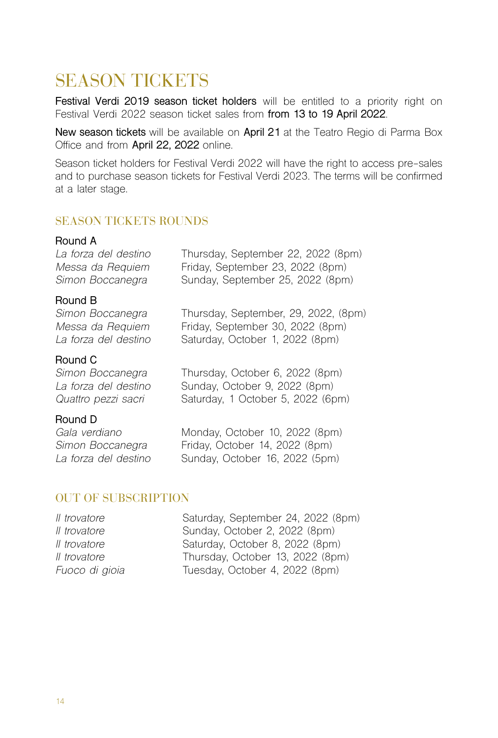# SEASON TICKETS

**Festival Verdi 2019 season ticket holders** will be entitled to a priority right on Festival Verdi 2022 season ticket sales from **from 13 to 19 April 2022**.

**New season tickets** will be available on **April 21** at the Teatro Regio di Parma Box Office and from **April 22, 2022** online.

Season ticket holders for Festival Verdi 2022 will have the right to access pre-sales and to purchase season tickets for Festival Verdi 2023. The terms will be confirmed at a later stage.

## SEASON TICKETS ROUNDS

## **Round A**<br>La forza del destino *La forza del destino* Thursday, September 22, 2022 (8pm) *Messa da Requiem* Friday, September 23, 2022 (8pm) Sunday, September 25, 2022 (8pm)

**Round B**

**Round C**<br>Simon Boccanegra

**Round D**<br>Gala verdiano

*Simon Boccanegra* Thursday, September, 29, 2022, (8pm) Friday, September 30, 2022 (8pm) *La forza del destino* Saturday, October 1, 2022 (8pm)

*Simon Boccanegra* Thursday, October 6, 2022 (8pm) *La forza del destino* Sunday, October 9, 2022 (8pm) *Quattro pezzi sacri* Saturday, 1 October 5, 2022 (6pm)

*Gala verdiano* Monday, October 10, 2022 (8pm) *Simon Boccanegra* Friday, October 14, 2022 (8pm) *La forza del destino* Sunday, October 16, 2022 (5pm)

### OUT OF SUBSCRIPTION

| Il trovatore   | Saturday, September 24, 2022 (8pm) |
|----------------|------------------------------------|
| Il trovatore   | Sunday, October 2, 2022 (8pm)      |
| Il trovatore   | Saturday, October 8, 2022 (8pm)    |
| Il trovatore   | Thursday, October 13, 2022 (8pm)   |
| Fuoco di gioia | Tuesday, October 4, 2022 (8pm)     |
|                |                                    |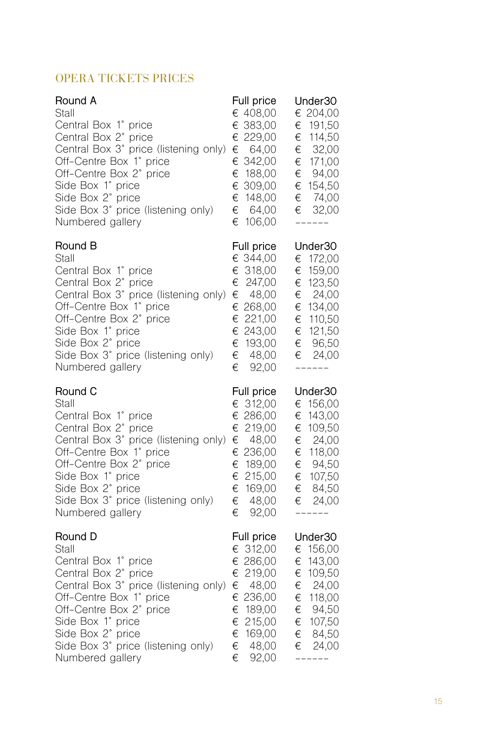## OPERA TICKETS PRICES

| Round A<br>Stall<br>Central Box 1° price<br>Central Box 2°<br>price<br>Central Box 3° price (listening only)<br>Off-Centre Box 1° price<br>Off-Centre Box 2° price<br>Side Box 1° price<br>Side Box 2° price<br>Side Box 3° price (listening only)<br>Numbered gallery | Full price<br>€ 408,00<br>€ 383,00<br>€ 229,00<br>€<br>64,00<br>342,00<br>€<br>188,00<br>€<br>€ 309,00<br>€<br>148,00<br>€<br>64,00<br>€<br>106,00      | Under30<br>€ 204,00<br>€<br>191,50<br>€<br>114,50<br>32,00<br>€<br>171,00<br>€<br>94,00<br>€<br>154,50<br>€<br>€<br>74,00<br>€<br>32,00<br>$-- -$       |
|------------------------------------------------------------------------------------------------------------------------------------------------------------------------------------------------------------------------------------------------------------------------|---------------------------------------------------------------------------------------------------------------------------------------------------------|---------------------------------------------------------------------------------------------------------------------------------------------------------|
| Round B<br>Stall<br>Central Box 1° price<br>Central Box 2°<br>price<br>Central Box 3° price (listening only)<br>Off-Centre Box 1° price<br>Off-Centre Box 2° price<br>Side Box 1° price<br>Side Box 2° price<br>Side Box 3° price (listening only)<br>Numbered gallery | Full price<br>€ 344,00<br>318,00<br>€<br>€<br>247,00<br>48,00<br>€<br>€ 268,00<br>221,00<br>€<br>€<br>243,00<br>193,00<br>€<br>€<br>48,00<br>€<br>92,00 | Under30<br>172,00<br>€<br>159,00<br>€<br>€<br>123,50<br>24,00<br>€<br>€<br>134,00<br>€<br>110,50<br>€<br>121,50<br>€<br>96,50<br>24,00<br>€<br>$------$ |
| Round C<br>Stall<br>Central Box 1° price<br>Central Box 2° price<br>Central Box 3° price (listening only)<br>Off-Centre Box 1° price<br>Off-Centre Box 2° price                                                                                                        | Full price<br>€ 312,00<br>286,00<br>€<br>€ 219,00<br>48,00<br>€<br>€ 236,00                                                                             | Under30<br>€<br>156,00<br>€<br>143,00<br>109,50<br>€<br>24,00<br>€<br>118,00<br>€<br>94,50<br>€                                                         |
| Side Box 1° price<br>Side Box 2° price<br>Side Box 3° price (listening only)<br>Numbered gallery                                                                                                                                                                       | 189,00<br>€<br>215,00<br>€<br>€<br>169,00<br>48,00<br>€<br>92.00<br>€                                                                                   | €<br>107,50<br>€<br>84,50<br>€ 24,00<br>------                                                                                                          |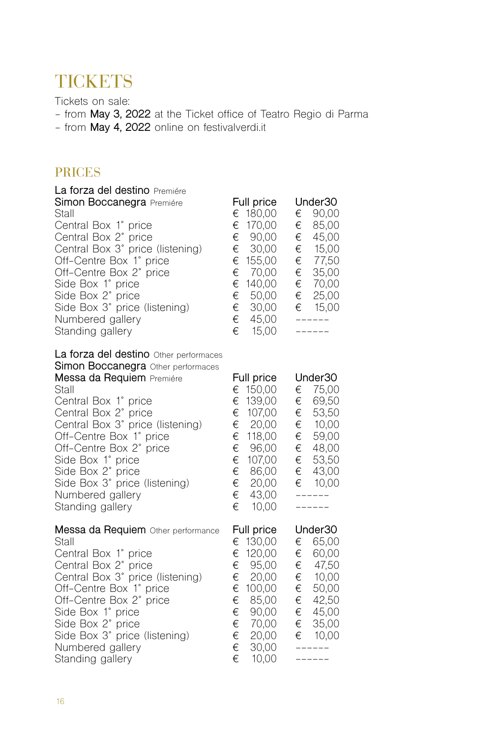# **TICKETS**

Tickets on sale:

- from **May 3, 2022** at the Ticket office of Teatro Regio di Parma
- from **May 4, 2022** online on festivalverdi.it

## PRICES

| La forza del destino Premiére<br>Simon Boccanegra Premiére<br>Stall<br>Central Box 1° price<br>Central Box 2° price<br>Central Box 3° price (listening)<br>Off-Centre Box 1° price<br>Off-Centre Box 2° price<br>Side Box 1° price<br>Side Box 2°<br>price<br>Side Box 3° price (listening)<br>Numbered gallery<br>Standing gallery                                                | Full price<br>180,00<br>€<br>€<br>170,00<br>€<br>90,00<br>€<br>30,00<br>155,00<br>€<br>€<br>70,00<br>€<br>140,00<br>€<br>50,00<br>€<br>30,00<br>45,00<br>€<br>€<br>15,00  | Under30<br>€<br>90,00<br>€<br>85,00<br>€<br>45,00<br>15,00<br>€<br>77,50<br>€<br>€<br>35,00<br>€<br>70,00<br>€<br>25,00<br>15,00<br>€<br>------<br>------ |
|------------------------------------------------------------------------------------------------------------------------------------------------------------------------------------------------------------------------------------------------------------------------------------------------------------------------------------------------------------------------------------|---------------------------------------------------------------------------------------------------------------------------------------------------------------------------|-----------------------------------------------------------------------------------------------------------------------------------------------------------|
| La forza del destino Other performaces<br>Simon Boccanegra Other performaces<br>Messa da Requiem Premiére<br>Stall<br>Central Box 1° price<br>Central Box 2° price<br>Central Box 3° price (listening)<br>Off-Centre Box 1° price<br>Off-Centre Box 2° price<br>Side Box 1° price<br>Side Box 2°<br>price<br>Side Box 3° price (listening)<br>Numbered gallery<br>Standing gallery | Full price<br>150,00<br>€<br>€<br>139,00<br>€<br>107,00<br>€<br>20,00<br>118,00<br>€<br>€<br>96,00<br>€<br>107,00<br>€<br>86,00<br>€<br>20,00<br>43,00<br>€<br>€<br>10,00 | Under30<br>€<br>75,00<br>€<br>69,50<br>€<br>53,50<br>10,00<br>€<br>€<br>59,00<br>€ 48,00<br>€<br>53,50<br>€<br>43,00<br>10,00<br>€<br>------<br>------    |
| Messa da Requiem Other performance<br>Stall<br>Central Box 1° price<br>Central Box 2° price<br>Central Box 3° price (listening)<br>Off-Centre Box 1° price<br>Off-Centre Box 2° price<br>Side Box 1° price<br>Side Box 2° price<br>Side Box 3° price (listening)<br>Numbered gallery<br>Standing gallery                                                                           | Full price<br>130,00<br>€<br>€<br>120,00<br>€<br>95,00<br>€<br>20,00<br>€<br>100,00<br>€<br>85,00<br>€<br>90,00<br>€<br>70,00<br>€<br>20,00<br>€<br>30,00<br>€<br>10,00   | Under30<br>€<br>65,00<br>€<br>60,00<br>€<br>47,50<br>€<br>10,00<br>€<br>50,00<br>42,50<br>€<br>45,00<br>€<br>€<br>35,00<br>€ 10,00<br>-------<br>------   |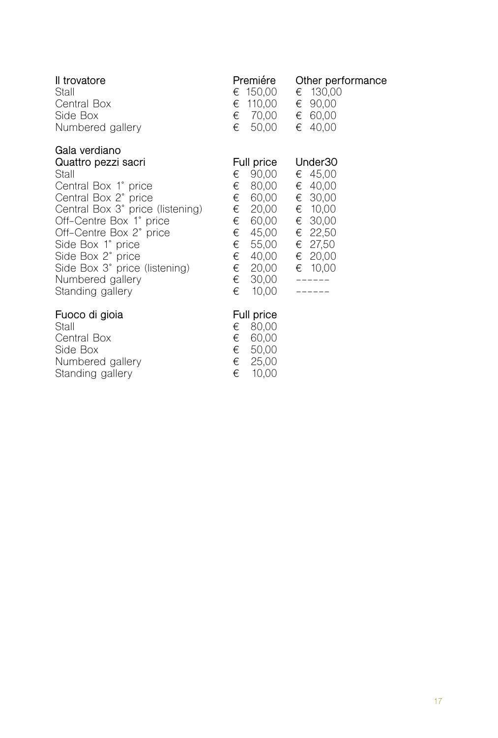| Il trovatore<br>Stall<br>Central Box<br>Side Box<br>Numbered gallery                                                                                                                                                                                                                                       | Premiére<br>€ 150,00<br>110,00<br>€<br>€ 70,00<br>50,00<br>€                                                                                                         | Other performance<br>€ 130.00<br>€ 90,00<br>€ 60,00<br>€ 40,00                                                         |
|------------------------------------------------------------------------------------------------------------------------------------------------------------------------------------------------------------------------------------------------------------------------------------------------------------|----------------------------------------------------------------------------------------------------------------------------------------------------------------------|------------------------------------------------------------------------------------------------------------------------|
| Gala verdiano<br>Quattro pezzi sacri<br>Stall<br>Central Box 1° price<br>Central Box 2° price<br>Central Box 3° price (listening)<br>Off-Centre Box 1° price<br>Off-Centre Box 2° price<br>Side Box 1° price<br>Side Box 2° price<br>Side Box 3° price (listening)<br>Numbered gallery<br>Standing gallery | Full price<br>90,00<br>€<br>80,00<br>€<br>60,00<br>€<br>€<br>20,00<br>€<br>60,00<br>€<br>45,00<br>€<br>55,00<br>€<br>40,00<br>€<br>20,00<br>€<br>30,00<br>€<br>10,00 | Under <sub>30</sub><br>€ 45,00<br>€ 40,00<br>€ 30,00<br>€ 10,00<br>€ 30,00<br>€ 22,50<br>€ 27,50<br>€ 20,00<br>€ 10,00 |
| Fuoco di gioia<br>Stall<br>Central Box<br>Side Box                                                                                                                                                                                                                                                         | Full price<br>80,00<br>€<br>60,00<br>€<br>€<br>50,00                                                                                                                 |                                                                                                                        |

€ 25,00 € 10,00

Numbered gallery Standing gallery

17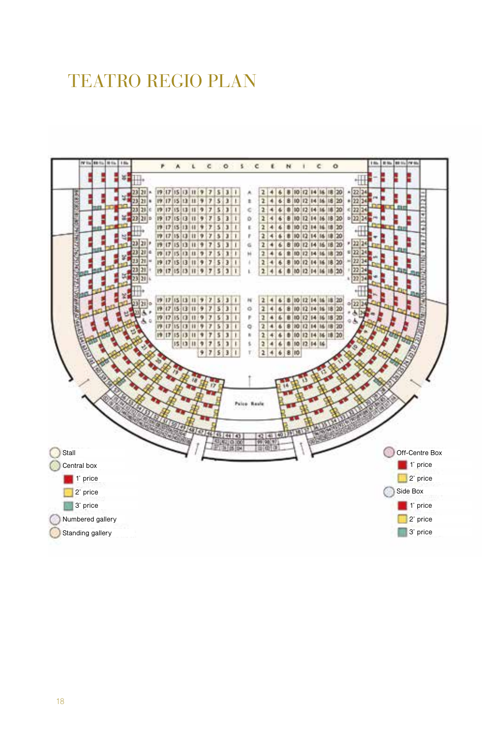# TEATRO REGIO PLAN